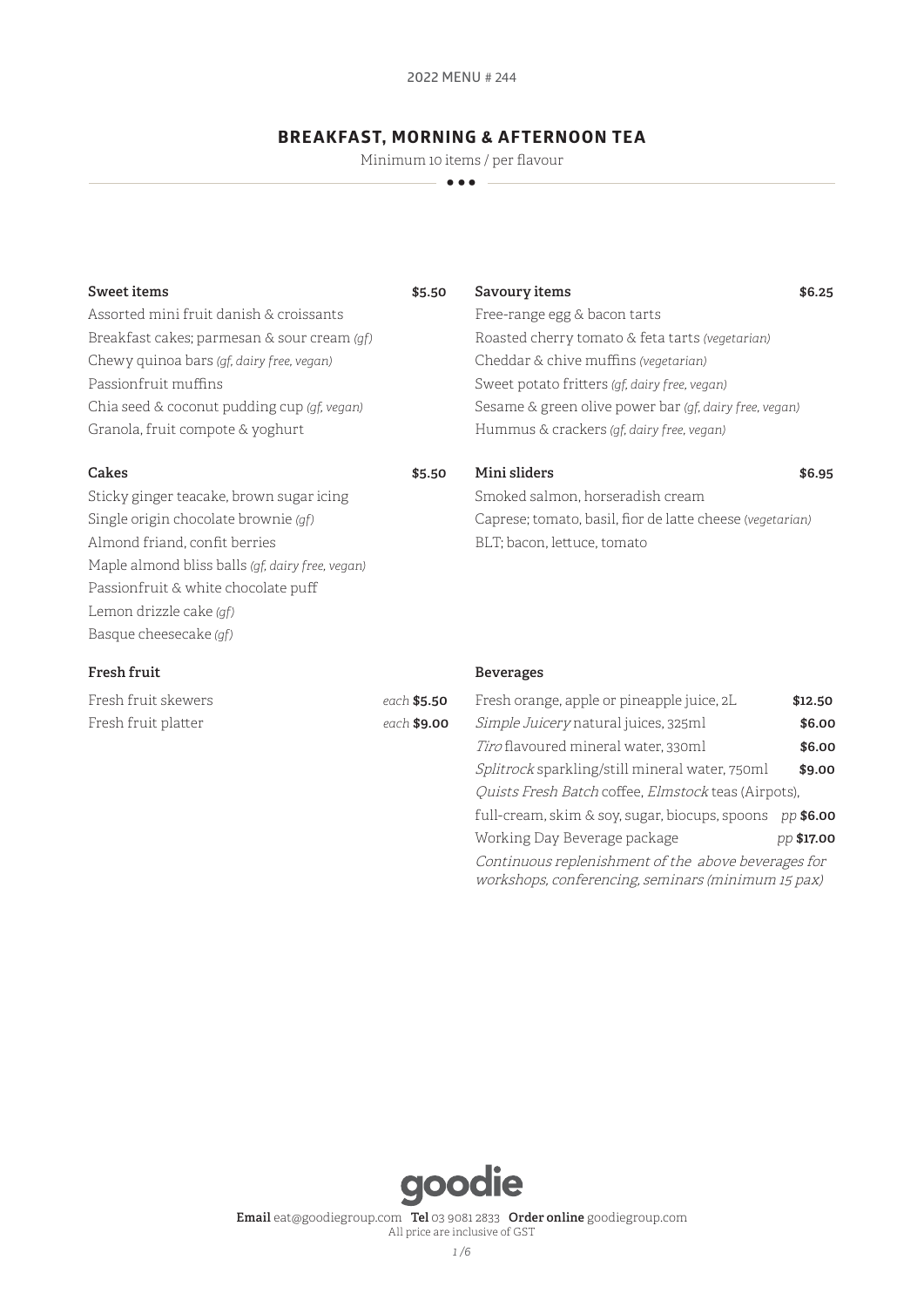# **BREAKFAST, MORNING & AFTERNOON TEA**

Minimum 10 items / per flavour

**•••** 

| Sweet items                                 | \$5.50 | Savoury items                                          | \$6.25 |
|---------------------------------------------|--------|--------------------------------------------------------|--------|
| Assorted mini fruit danish & croissants     |        | Free-range egg & bacon tarts                           |        |
| Breakfast cakes; parmesan & sour cream (qf) |        | Roasted cherry tomato & feta tarts (vegetarian)        |        |
| Chewy quinoa bars (gf, dairy free, vegan)   |        | Cheddar & chive muffins (vegetarian)                   |        |
| Passionfruit muffins                        |        | Sweet potato fritters (qf, dairy free, vegan)          |        |
| Chia seed & coconut pudding cup (gf, vegan) |        | Sesame & green olive power bar (qf, dairy free, vegan) |        |
| Granola, fruit compote & yoghurt            |        | Hummus & crackers (gf, dairy free, vegan)              |        |

### **Cakes \$5.50**

Sticky ginger teacake, brown sugar icing Single origin chocolate brownie *(gf)* Almond friand, confit berries Maple almond bliss balls *(gf, dairy free, vegan)* Passionfruit & white chocolate puff Lemon drizzle cake *(gf)* Basque cheesecake *(gf)*

# **Fresh fruit**

| Fresh fruit skewers | each \$5.50        |
|---------------------|--------------------|
| Fresh fruit platter | each <b>\$9.00</b> |

#### **Beverages**

| Fresh orange, apple or pineapple juice, 2L                                                                | \$12.50    |  |
|-----------------------------------------------------------------------------------------------------------|------------|--|
| Simple Juicery natural juices, 325ml                                                                      | \$6.00     |  |
| Tiro flavoured mineral water, 330ml                                                                       | \$6.00     |  |
| Splitrock sparkling/still mineral water, 750ml                                                            | \$9.00     |  |
| Quists Fresh Batch coffee, Elmstock teas (Airpots),                                                       |            |  |
| full-cream, skim & soy, sugar, biocups, spoons                                                            | pp \$6.00  |  |
| Working Day Beverage package                                                                              | pp \$17.00 |  |
| Continuous replenishment of the above beverages for<br>workshops, conferencing, seminars (minimum 15 pax) |            |  |

**Mini sliders \$6.95**

Caprese; tomato, basil, fior de latte cheese (*vegetarian)*

Smoked salmon, horseradish cream

BLT; bacon, lettuce, tomato

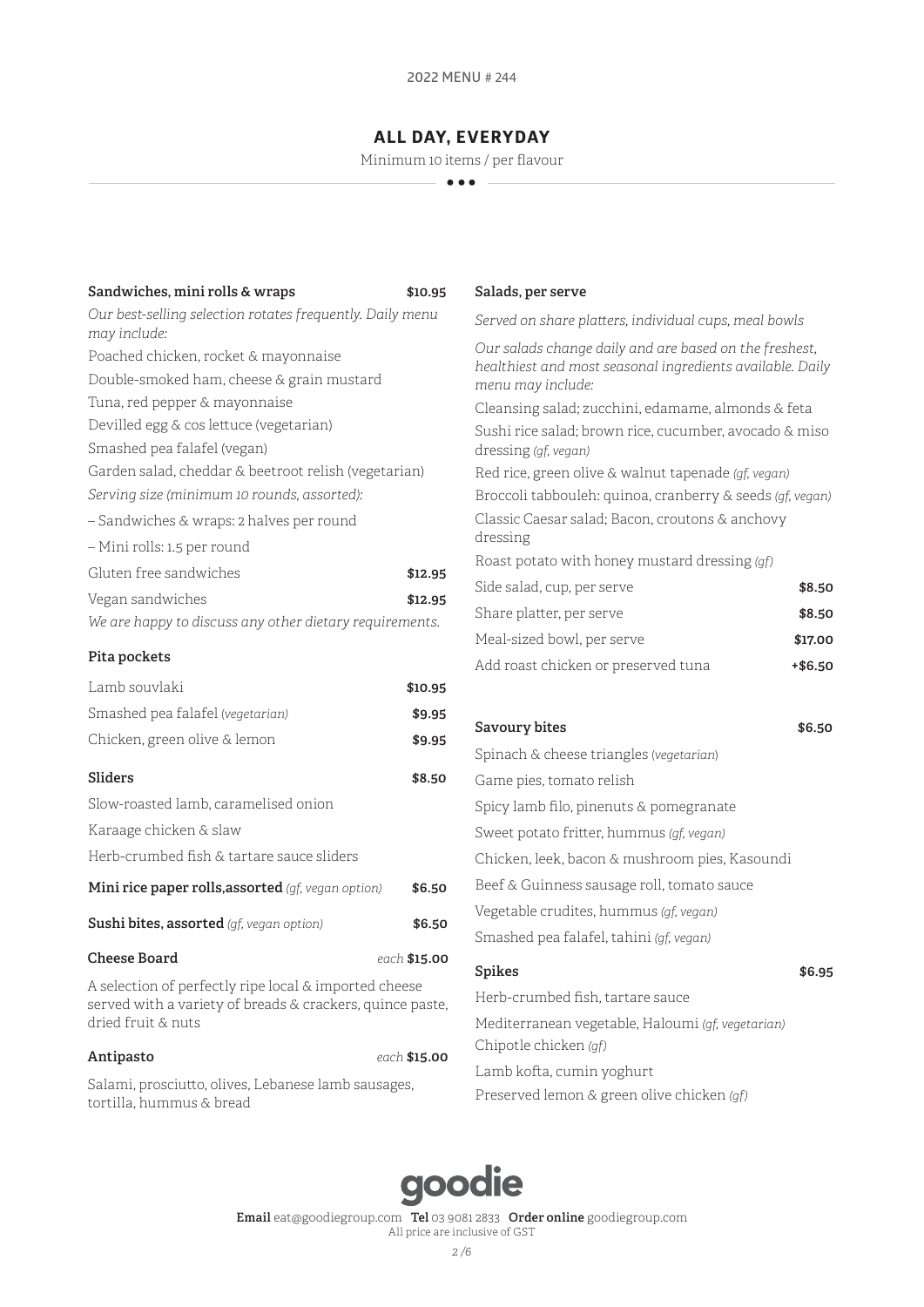# **ALL DAY, EVERYDAY**

Minimum 10 items / per flavour

**•••** 

| Sandwiches, mini rolls & wraps                                                                                                           | \$10.95      |
|------------------------------------------------------------------------------------------------------------------------------------------|--------------|
| Our best-selling selection rotates frequently. Daily menu                                                                                |              |
| may include:                                                                                                                             |              |
| Poached chicken, rocket & mayonnaise                                                                                                     |              |
| Double-smoked ham, cheese & grain mustard                                                                                                |              |
| Tuna, red pepper & mayonnaise                                                                                                            |              |
| Devilled egg & cos lettuce (vegetarian)                                                                                                  |              |
| Smashed pea falafel (vegan)                                                                                                              |              |
| Garden salad, cheddar & beetroot relish (vegetarian)                                                                                     |              |
| Serving size (minimum 10 rounds, assorted):                                                                                              |              |
| - Sandwiches & wraps: 2 halves per round                                                                                                 |              |
| - Mini rolls: 1.5 per round                                                                                                              |              |
| Gluten free sandwiches                                                                                                                   | \$12.95      |
| Vegan sandwiches                                                                                                                         | \$12.95      |
| We are happy to discuss any other dietary requirements.                                                                                  |              |
| Pita pockets                                                                                                                             |              |
| Lamb souvlaki                                                                                                                            | \$10.95      |
| Smashed pea falafel (vegetarian)                                                                                                         | \$9.95       |
| Chicken, green olive & lemon                                                                                                             | \$9.95       |
| Sliders                                                                                                                                  | \$8.50       |
| Slow-roasted lamb, caramelised onion                                                                                                     |              |
| Karaage chicken & slaw                                                                                                                   |              |
| Herb-crumbed fish & tartare sauce sliders                                                                                                |              |
| Mini rice paper rolls, assorted (gf, vegan option)                                                                                       | \$6.50       |
| <b>Sushi bites, assorted</b> (gf, vegan option)                                                                                          | \$6.50       |
| <b>Cheese Board</b>                                                                                                                      | each \$15.00 |
| A selection of perfectly ripe local & imported cheese<br>served with a variety of breads & crackers, quince paste,<br>dried fruit & nuts |              |

**Antipasto** *each* **\$15.00** Salami, prosciutto, olives, Lebanese lamb sausages,

tortilla, hummus & bread

#### **Salads, per serve**

*Served on share platters, individual cups, meal bowls* 

*Our salads change daily and are based on the freshest, healthiest and most seasonal ingredients available. Daily menu may include:* Cleansing salad; zucchini, edamame, almonds & feta ushi rice salad; brown rice, cucumber, avocado & miso dressing *(gf, vegan)* ed rice, green olive & walnut tapenade *(gf, vegan)* Broccoli tabbouleh: quinoa, cranberry & seeds *(gf, vegan)* Classic Caesar salad; Bacon, croutons & anchovy ressing Roast potato with honey mustard dressing *(gf)* Side salad, cup, per serve **\$8.50** Share platter, per serve **\$8.50**

| Share platter, per serve            | \$8.50  |
|-------------------------------------|---------|
| Meal-sized bowl, per serve          | \$17.00 |
| Add roast chicken or preserved tuna | +\$6.50 |

| Savoury bites                                     | \$6.50 |
|---------------------------------------------------|--------|
| Spinach & cheese triangles (vegetarian)           |        |
| Game pies, tomato relish                          |        |
| Spicy lamb filo, pinenuts & pomegranate           |        |
| Sweet potato fritter, hummus (gf, vegan)          |        |
| Chicken, leek, bacon & mushroom pies, Kasoundi    |        |
| Beef & Guinness sausage roll, tomato sauce        |        |
| Vegetable crudites, hummus (qf, vegan)            |        |
| Smashed pea falafel, tahini (qf, vegan)           |        |
| <b>Spikes</b>                                     | \$6.95 |
| Herb-crumbed fish, tartare sauce                  |        |
| Mediterranean vegetable, Haloumi (gf, vegetarian) |        |

Lamb kofta, cumin yoghurt Preserved lemon & green olive chicken *(gf)*

Chipotle chicken *(gf)*

# goodie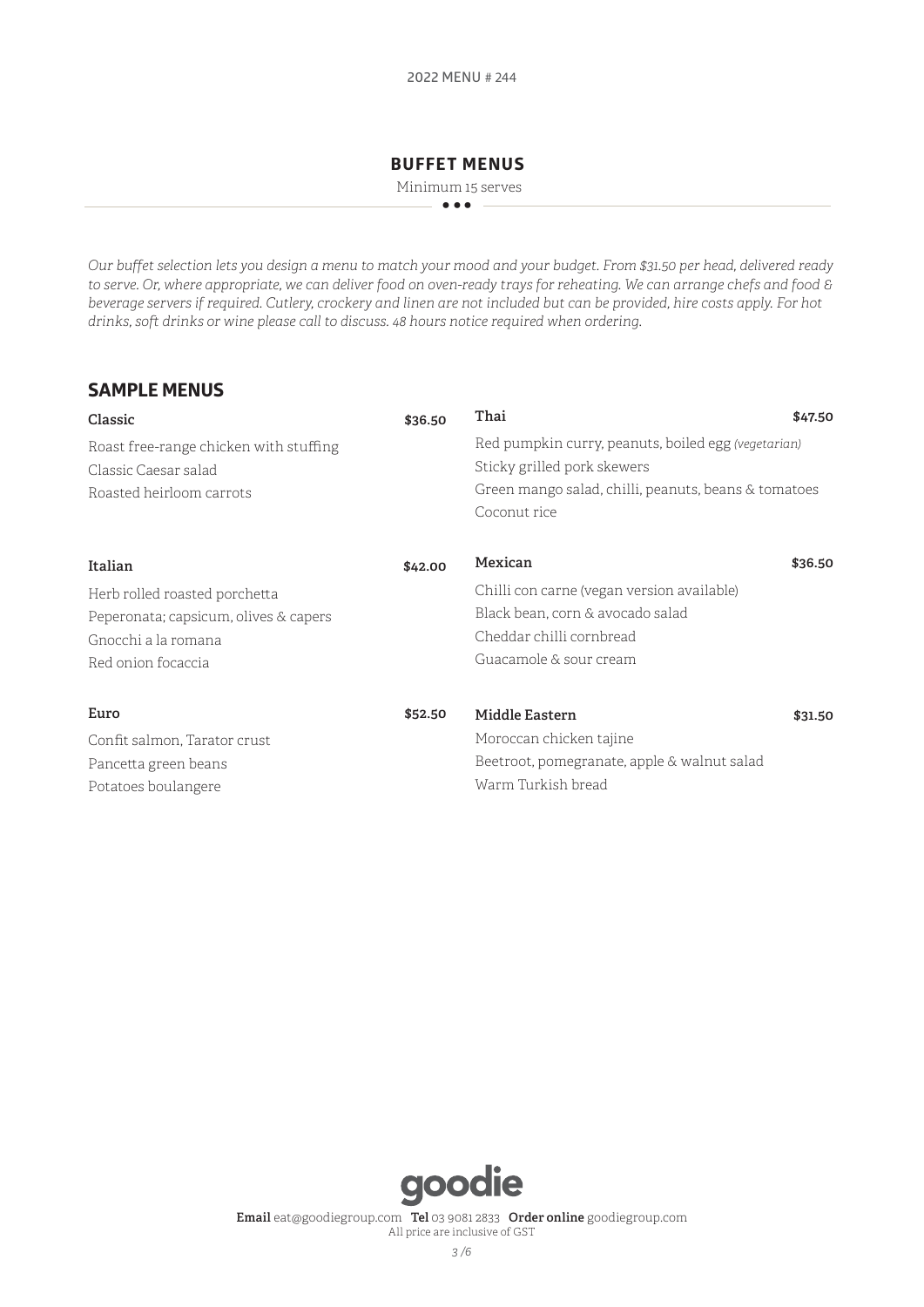# **BUFFET MENUS**

Minimum 15 serves **•••** 

*Our buffet selection lets you design a menu to match your mood and your budget. From \$31.50 per head, delivered ready to serve. Or, where appropriate, we can deliver food on oven-ready trays for reheating. We can arrange chefs and food & beverage servers if required. Cutlery, crockery and linen are not included but can be provided, hire costs apply. For hot drinks, soft drinks or wine please call to discuss. 48 hours notice required when ordering*.

# **SAMPLE MENUS**

| \$36.50 | Thai                                        | \$47.50                                                                                                     |
|---------|---------------------------------------------|-------------------------------------------------------------------------------------------------------------|
|         |                                             |                                                                                                             |
|         | Sticky grilled pork skewers                 |                                                                                                             |
|         |                                             |                                                                                                             |
|         | Coconut rice                                |                                                                                                             |
| \$42.00 | Mexican                                     | \$36.50                                                                                                     |
|         | Chilli con carne (vegan version available)  |                                                                                                             |
|         | Black bean, corn & avocado salad            |                                                                                                             |
|         | Cheddar chilli cornbread                    |                                                                                                             |
|         | Guacamole & sour cream                      |                                                                                                             |
| \$52.50 | Middle Eastern                              | \$31.50                                                                                                     |
|         | Moroccan chicken tajine                     |                                                                                                             |
|         | Beetroot, pomegranate, apple & walnut salad |                                                                                                             |
|         | Warm Turkish bread                          |                                                                                                             |
|         |                                             | Red pumpkin curry, peanuts, boiled egg (vegetarian)<br>Green mango salad, chilli, peanuts, beans & tomatoes |

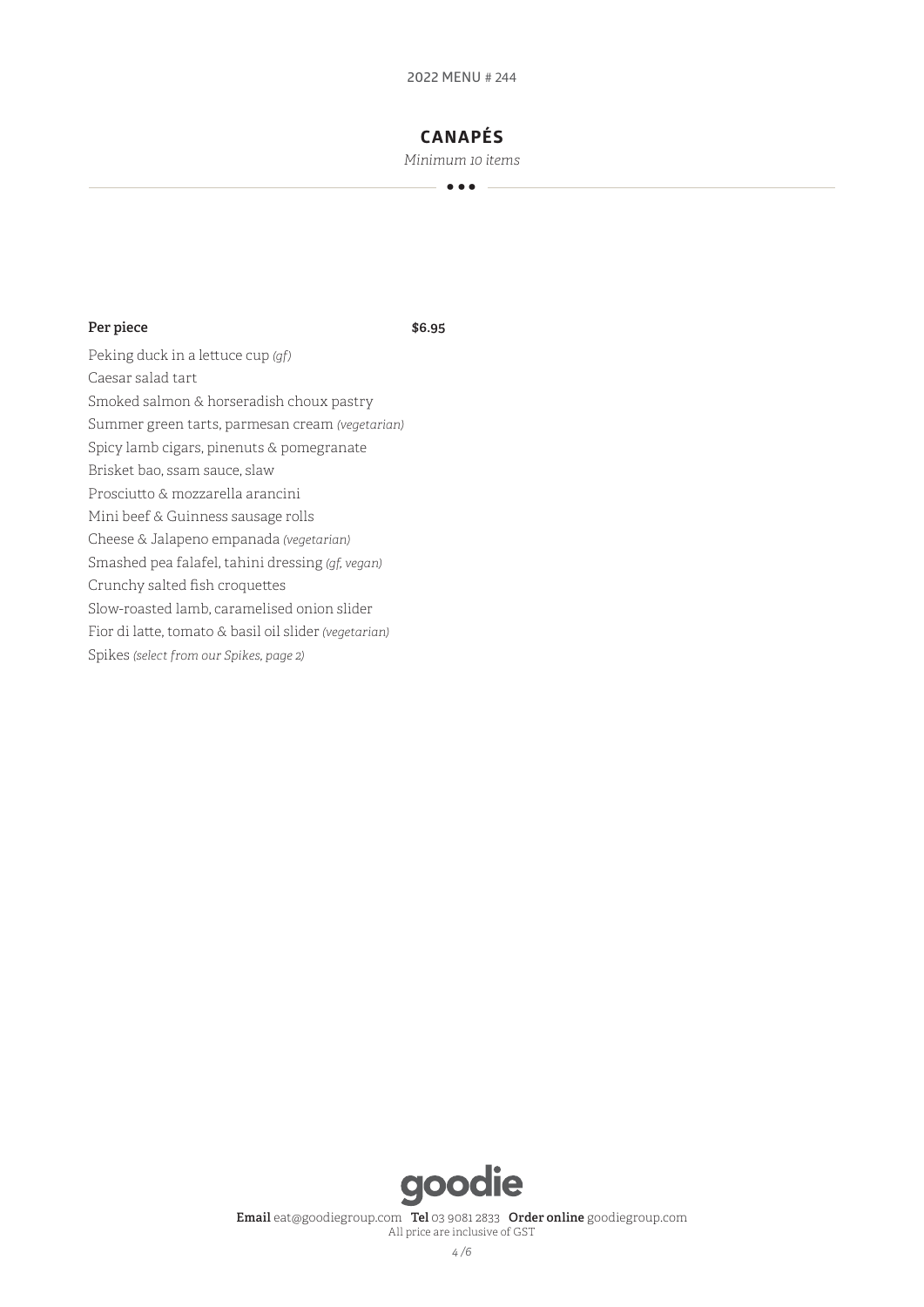# **CANAPÉS**

*Minimum 10 items* **•••** 

### **Per piece \$6.95**

Peking duck in a lettuce cup *(gf)* Caesar salad tart Smoked salmon & horseradish choux pastry Summer green tarts, parmesan cream *(vegetarian)* Spicy lamb cigars, pinenuts & pomegranate Brisket bao, ssam sauce, slaw Prosciutto & mozzarella arancini Mini beef & Guinness sausage rolls Cheese & Jalapeno empanada *(vegetarian)* Smashed pea falafel, tahini dressing *(gf, vegan)* Crunchy salted fish croquettes Slow-roasted lamb, caramelised onion slider Fior di latte, tomato & basil oil slider *(vegetarian)* Spikes *(select from our Spikes, page 2)*

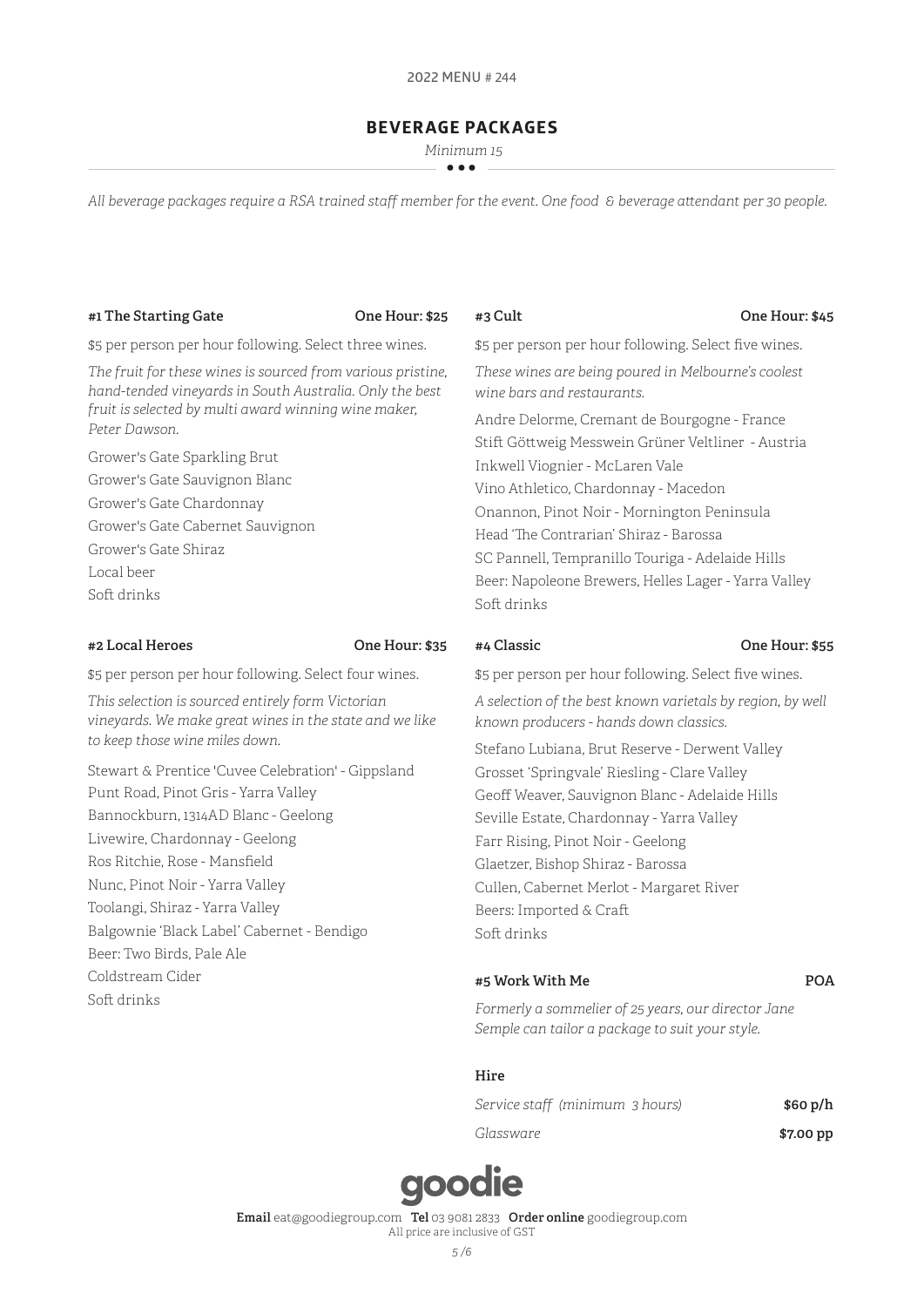# **BEVERAGE PACKAGES**

 *Minimum 15* **•••** 

*All beverage packages require a RSA trained staff member for the event. One food & beverage attendant per 30 people.* 

#### **#1 The Starting Gate One Hour: \$25**

**#3 Cult One Hour: \$45**

\$5 per person per hour following. Select three wines.

*The fruit for these wines is sourced from various pristine, hand-tended vineyards in South Australia. Only the best fruit is selected by multi award winning wine maker, Peter Dawson.* 

Grower's Gate Sparkling Brut Grower's Gate Sauvignon Blanc Grower's Gate Chardonnay Grower's Gate Cabernet Sauvignon Grower's Gate Shiraz Local beer Soft drinks

#### **#2 Local Heroes One Hour: \$35**

\$5 per person per hour following. Select four wines.

*This selection is sourced entirely form Victorian vineyards. We make great wines in the state and we like to keep those wine miles down.* 

Stewart & Prentice 'Cuvee Celebration' - Gippsland Punt Road, Pinot Gris - Yarra Valley Bannockburn, 1314AD Blanc - Geelong Livewire, Chardonnay - Geelong Ros Ritchie, Rose - Mansfield Nunc, Pinot Noir - Yarra Valley Toolangi, Shiraz - Yarra Valley Balgownie 'Black Label' Cabernet - Bendigo Beer: Two Birds, Pale Ale Coldstream Cider Soft drinks

\$5 per person per hour following. Select five wines. *These wines are being poured in Melbourne's coolest wine bars and restaurants.* 

Andre Delorme, Cremant de Bourgogne - France Stift Göttweig Messwein Grüner Veltliner - Austria Inkwell Viognier - McLaren Vale Vino Athletico, Chardonnay - Macedon Onannon, Pinot Noir - Mornington Peninsula Head 'The Contrarian' Shiraz - Barossa SC Pannell, Tempranillo Touriga - Adelaide Hills Beer: Napoleone Brewers, Helles Lager - Yarra Valley Soft drinks

#### **#4 Classic One Hour: \$55**

\$5 per person per hour following. Select five wines.

*A selection of the best known varietals by region, by well known producers - hands down classics.* 

Stefano Lubiana, Brut Reserve - Derwent Valley Grosset 'Springvale' Riesling - Clare Valley Geoff Weaver, Sauvignon Blanc - Adelaide Hills Seville Estate, Chardonnay - Yarra Valley Farr Rising, Pinot Noir - Geelong Glaetzer, Bishop Shiraz - Barossa Cullen, Cabernet Merlot - Margaret River Beers: Imported & Craft Soft drinks

### **#5 Work With Me POA**

*Formerly a sommelier of 25 years, our director Jane Semple can tailor a package to suit your style.* 

### **Hire**

| Service staff (minimum 3 hours) | \$60 p/h  |
|---------------------------------|-----------|
| Glassware                       | \$7.00 pp |